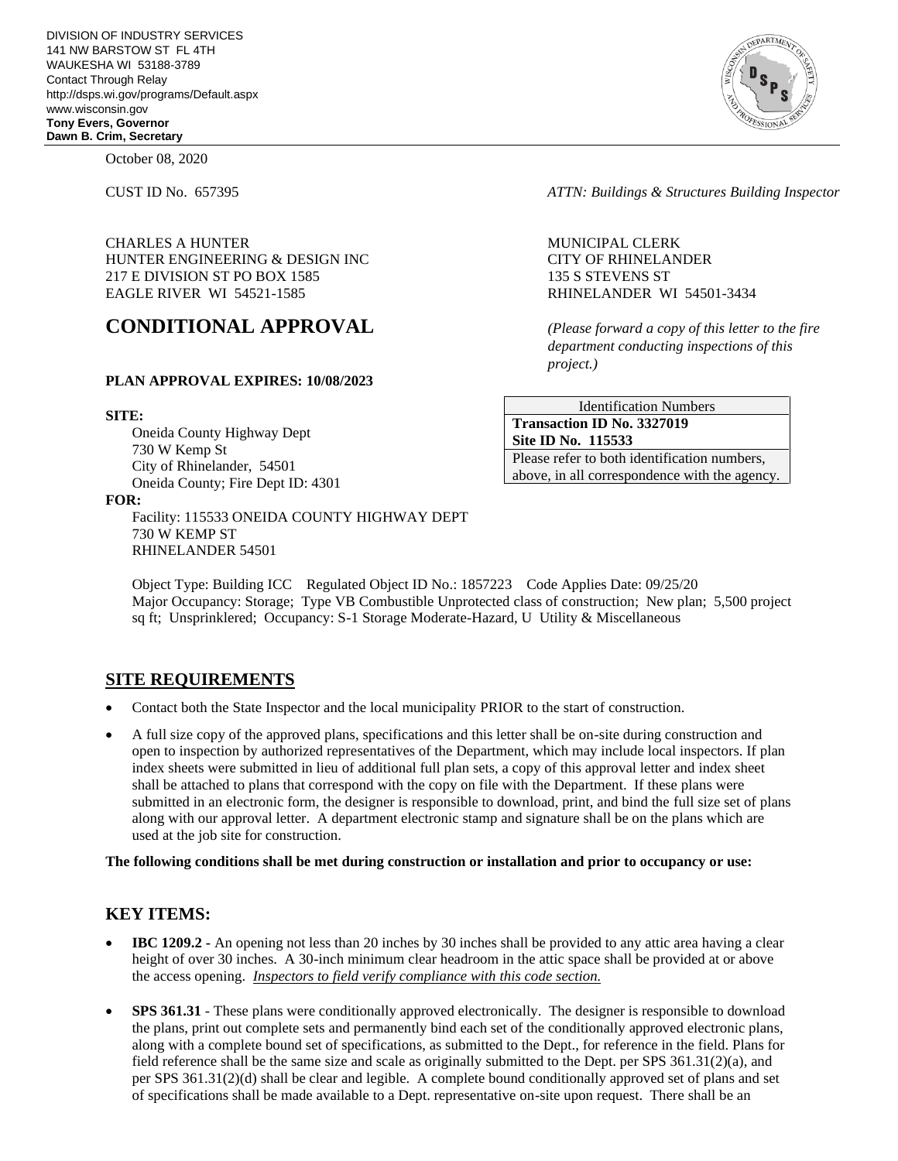October 08, 2020

CHARLES A HUNTER NEWSLET MUNICIPAL CLERK HUNTER ENGINEERING & DESIGN INC CITY OF RHINELANDER 217 E DIVISION ST PO BOX 1585 135 S STEVENS ST EAGLE RIVER WI 54521-1585 RHINELANDER WI 54501-3434

# **CONDITIONAL APPROVAL** *(Please forward a copy of this letter to the fire*

### **PLAN APPROVAL EXPIRES: 10/08/2023**

### **SITE:**

Oneida County Highway Dept 730 W Kemp St City of Rhinelander, 54501 Oneida County; Fire Dept ID: 4301

#### **FOR:**

Facility: 115533 ONEIDA COUNTY HIGHWAY DEPT 730 W KEMP ST RHINELANDER 54501

CUST ID No. 657395 *ATTN: Buildings & Structures Building Inspector*

*department conducting inspections of this project.)*

Identification Numbers **Transaction ID No. 3327019 Site ID No. 115533**  Please refer to both identification numbers, above, in all correspondence with the agency.

Object Type: Building ICC Regulated Object ID No.: 1857223 Code Applies Date: 09/25/20 Major Occupancy: Storage; Type VB Combustible Unprotected class of construction; New plan; 5,500 project sq ft; Unsprinklered; Occupancy: S-1 Storage Moderate-Hazard, U Utility & Miscellaneous

### **SITE REQUIREMENTS**

- Contact both the State Inspector and the local municipality PRIOR to the start of construction.
- A full size copy of the approved plans, specifications and this letter shall be on-site during construction and open to inspection by authorized representatives of the Department, which may include local inspectors. If plan index sheets were submitted in lieu of additional full plan sets, a copy of this approval letter and index sheet shall be attached to plans that correspond with the copy on file with the Department. If these plans were submitted in an electronic form, the designer is responsible to download, print, and bind the full size set of plans along with our approval letter. A department electronic stamp and signature shall be on the plans which are used at the job site for construction.

**The following conditions shall be met during construction or installation and prior to occupancy or use:**

### **KEY ITEMS:**

- **IBC 1209.2 -** An opening not less than 20 inches by 30 inches shall be provided to any attic area having a clear height of over 30 inches. A 30-inch minimum clear headroom in the attic space shall be provided at or above the access opening. *Inspectors to field verify compliance with this code section.*
- **SPS 361.31** These plans were conditionally approved electronically. The designer is responsible to download the plans, print out complete sets and permanently bind each set of the conditionally approved electronic plans, along with a complete bound set of specifications, as submitted to the Dept., for reference in the field. Plans for field reference shall be the same size and scale as originally submitted to the Dept. per SPS 361.31(2)(a), and per SPS 361.31(2)(d) shall be clear and legible. A complete bound conditionally approved set of plans and set of specifications shall be made available to a Dept. representative on-site upon request. There shall be an

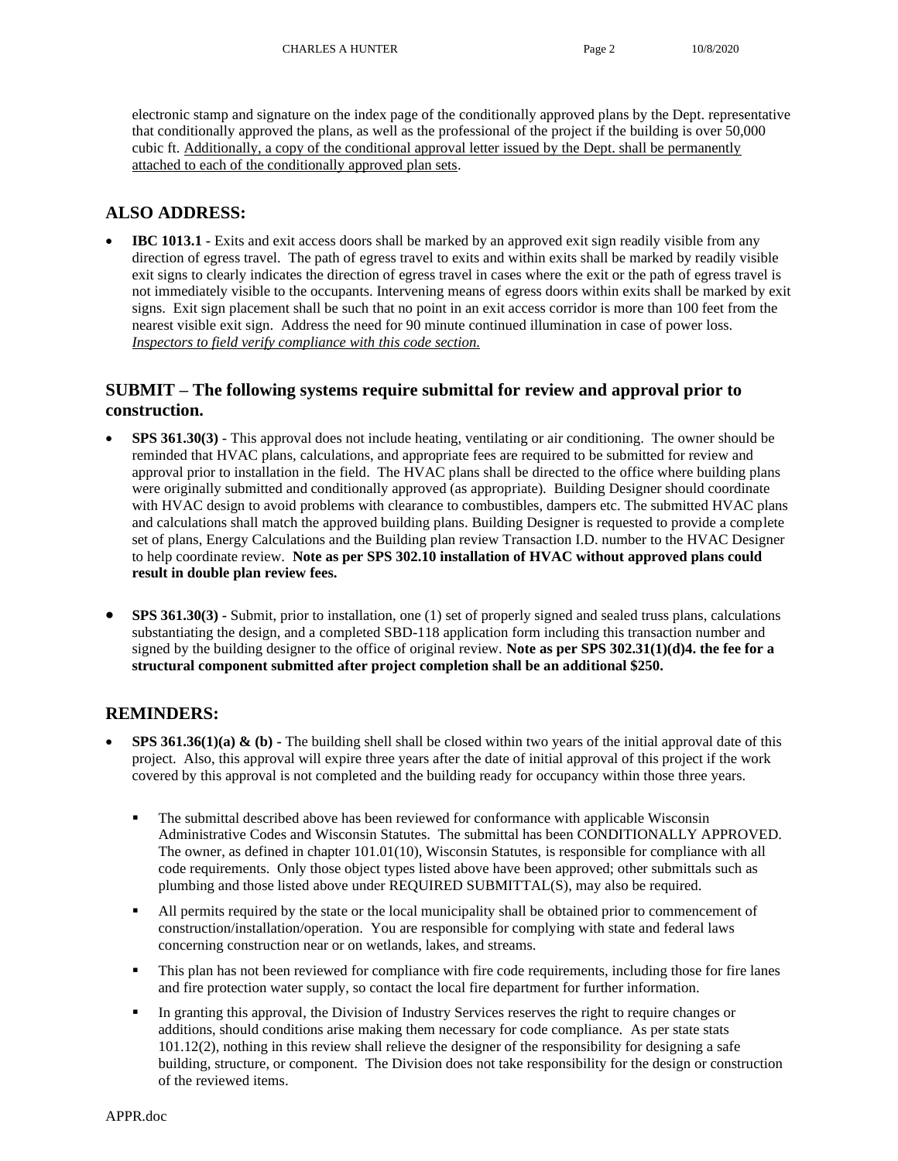electronic stamp and signature on the index page of the conditionally approved plans by the Dept. representative that conditionally approved the plans, as well as the professional of the project if the building is over 50,000 cubic ft. Additionally, a copy of the conditional approval letter issued by the Dept. shall be permanently attached to each of the conditionally approved plan sets.

# **ALSO ADDRESS:**

• **IBC 1013.1 -** Exits and exit access doors shall be marked by an approved exit sign readily visible from any direction of egress travel. The path of egress travel to exits and within exits shall be marked by readily visible exit signs to clearly indicates the direction of egress travel in cases where the exit or the path of egress travel is not immediately visible to the occupants. Intervening means of egress doors within exits shall be marked by exit signs. Exit sign placement shall be such that no point in an exit access corridor is more than 100 feet from the nearest visible exit sign. Address the need for 90 minute continued illumination in case of power loss. *Inspectors to field verify compliance with this code section.*

# **SUBMIT – The following systems require submittal for review and approval prior to construction.**

- **SPS 361.30(3)**  This approval does not include heating, ventilating or air conditioning. The owner should be reminded that HVAC plans, calculations, and appropriate fees are required to be submitted for review and approval prior to installation in the field. The HVAC plans shall be directed to the office where building plans were originally submitted and conditionally approved (as appropriate). Building Designer should coordinate with HVAC design to avoid problems with clearance to combustibles, dampers etc. The submitted HVAC plans and calculations shall match the approved building plans. Building Designer is requested to provide a complete set of plans, Energy Calculations and the Building plan review Transaction I.D. number to the HVAC Designer to help coordinate review. **Note as per SPS 302.10 installation of HVAC without approved plans could result in double plan review fees.**
- **SPS 361.30(3) -** Submit, prior to installation, one (1) set of properly signed and sealed truss plans, calculations substantiating the design, and a completed SBD-118 application form including this transaction number and signed by the building designer to the office of original review. **Note as per SPS 302.31(1)(d)4. the fee for a structural component submitted after project completion shall be an additional \$250.**

# **REMINDERS:**

- **SPS 361.36(1)(a) & (b)** The building shell shall be closed within two years of the initial approval date of this project. Also, this approval will expire three years after the date of initial approval of this project if the work covered by this approval is not completed and the building ready for occupancy within those three years.
	- The submittal described above has been reviewed for conformance with applicable Wisconsin Administrative Codes and Wisconsin Statutes. The submittal has been CONDITIONALLY APPROVED. The owner, as defined in chapter 101.01(10), Wisconsin Statutes, is responsible for compliance with all code requirements. Only those object types listed above have been approved; other submittals such as plumbing and those listed above under REQUIRED SUBMITTAL(S), may also be required.
	- All permits required by the state or the local municipality shall be obtained prior to commencement of construction/installation/operation. You are responsible for complying with state and federal laws concerning construction near or on wetlands, lakes, and streams.
	- This plan has not been reviewed for compliance with fire code requirements, including those for fire lanes and fire protection water supply, so contact the local fire department for further information.
	- In granting this approval, the Division of Industry Services reserves the right to require changes or additions, should conditions arise making them necessary for code compliance. As per state stats 101.12(2), nothing in this review shall relieve the designer of the responsibility for designing a safe building, structure, or component. The Division does not take responsibility for the design or construction of the reviewed items.